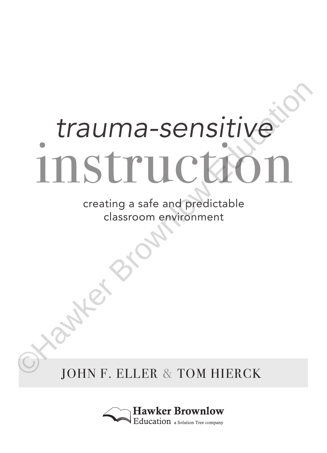# *trauma-sensitive* **EXAMPLE SPENDERS**

creating a safe and predictable classroom environment

JOHN F. ELLER & TOM HIERCK

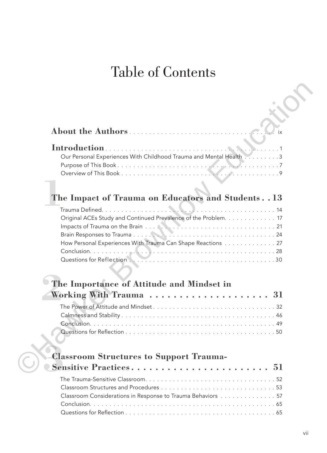# Table of Contents

| About the Authors                                                                                                                                |
|--------------------------------------------------------------------------------------------------------------------------------------------------|
| $\sum_{i=1}^{n} x_i$<br>Our Personal Experiences With Childhood Trauma and Mental Health 3                                                       |
|                                                                                                                                                  |
| The Impact of Trauma on Educators and Students. . 13                                                                                             |
| Trauma Defined<br>Original ACEs Study and Continued Prevalence of the Problem. 17<br>How Personal Experiences With Trauma Can Shape Reactions 27 |
| The Importance of Attitude and Mindset in                                                                                                        |
| Working With Trauma $\,\ldots\, \ldots\, \ldots\, \ldots\, \ldots\, \ldots\, \, .\, \, 31$                                                       |
|                                                                                                                                                  |
| <b>Classroom Structures to Support Trauma-</b>                                                                                                   |
|                                                                                                                                                  |
| Classroom Considerations in Response to Trauma Behaviors 57<br>Conclusion.                                                                       |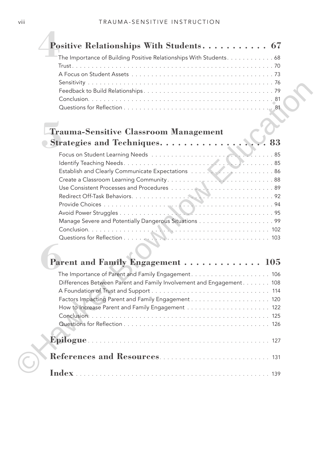| The Importance of Building Positive Relationships With Students. 68   |
|-----------------------------------------------------------------------|
|                                                                       |
|                                                                       |
|                                                                       |
|                                                                       |
|                                                                       |
| <b>Trauma-Sensitive Classroom Management</b>                          |
|                                                                       |
| $\ldots$ 85                                                           |
|                                                                       |
|                                                                       |
|                                                                       |
|                                                                       |
|                                                                       |
|                                                                       |
|                                                                       |
|                                                                       |
|                                                                       |
| Parent and Family Engagement  105                                     |
|                                                                       |
| Differences Between Parent and Family Involvement and Engagement. 108 |
|                                                                       |
|                                                                       |
|                                                                       |
|                                                                       |
|                                                                       |
|                                                                       |
|                                                                       |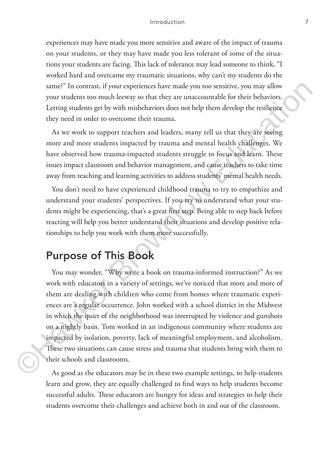### Introduction 7

experiences may have made you more sensitive and aware of the impact of trauma on your students, or they may have made you less tolerant of some of the situations your students are facing. This lack of tolerance may lead someone to think, "I worked hard and overcame my traumatic situations, why can't my students do the same?" In contrast, if your experiences have made you too sensitive, you may allow your students too much leeway so that they are unaccountable for their behaviors. Letting students get by with misbehaviors does not help them develop the resilience they need in order to overcome their trauma.

As we work to support teachers and leaders, many tell us that they are seeing more and more students impacted by trauma and mental health challenges. We have observed how trauma-impacted students struggle to focus and learn. These issues impact classroom and behavior management, and cause teachers to take time away from teaching and learning activities to address students' mental health needs.

You don't need to have experienced childhood trauma to try to empathize and understand your students' perspectives. If you try to understand what your students might be experiencing, that's a great first step. Being able to step back before reacting will help you better understand their situations and develop positive relationships to help you work with them more successfully.

# Purpose of This Book

You may wonder, "Why write a book on trauma-informed instruction?" As we work with educators in a variety of settings, we've noticed that more and more of them are dealing with children who come from homes where traumatic experiences are a regular occurrence. John worked with a school district in the Midwest in which the quiet of the neighborhood was interrupted by violence and gunshots on a nightly basis. Tom worked in an indigenous community where students are impacted by isolation, poverty, lack of meaningful employment, and alcoholism. These two situations can cause stress and trauma that students bring with them to their schools and classrooms. same?" In contrast, if your experiences have made you too sensitive, you may allow<br>your students too much clowus to that they are unaccountable for their behaviors<br>Letting suddents get by with misbehaviors does not help t

As good as the educators may be in these two example settings, to help students learn and grow, they are equally challenged to find ways to help students become successful adults. These educators are hungry for ideas and strategies to help their students overcome their challenges and achieve both in and out of the classroom.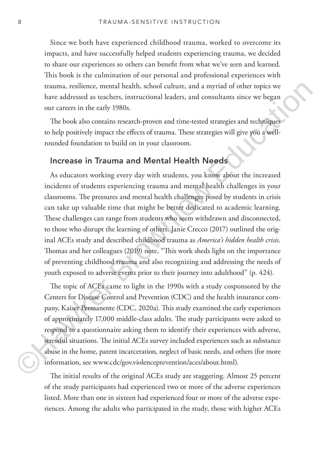Since we both have experienced childhood trauma, worked to overcome its impacts, and have successfully helped students experiencing trauma, we decided to share our experiences so others can benefit from what we've seen and learned. This book is the culmination of our personal and professional experiences with trauma, resilience, mental health, school culture, and a myriad of other topics we have addressed as teachers, instructional leaders, and consultants since we began our careers in the early 1980s.

The book also contains research-proven and time-tested strategies and techniques to help positively impact the effects of trauma. These strategies will give you a wellrounded foundation to build on in your classroom.

### Increase in Trauma and Mental Health Needs

As educators working every day with students, you know about the increased incidents of students experiencing trauma and mental health challenges in your classrooms. The pressures and mental health challenges posed by students in crisis can take up valuable time that might be better dedicated to academic learning. These challenges can range from students who seem withdrawn and disconnected, to those who disrupt the learning of others. Janie Crecco (2017) outlined the original ACEs study and described childhood trauma as *America's hidden health crisis*. Thomas and her colleagues (2019) note, "This work sheds light on the importance of preventing childhood trauma and also recognizing and addressing the needs of youth exposed to adverse events prior to their journey into adulthood" (p. 424). rtauma, resilience, mental health, school culture, and a myriad of other topics we<br>have addressed as teachers, instructional leaders, and consultants since we began<br>our careers in the early 1980s.<br>The book also contains re

The topic of ACEs came to light in the 1990s with a study cosponsored by the Centers for Disease Control and Prevention (CDC) and the health insurance company, Kaiser Permanente (CDC, 2020a). This study examined the early experiences of approximately 17,000 middle-class adults. The study participants were asked to respond to a questionnaire asking them to identify their experiences with adverse, stressful situations. The initial ACEs survey included experiences such as substance abuse in the home, parent incarceration, neglect of basic needs, and others (for more information, see www.cdc/gov.violenceprevention/aces/about.html).

The initial results of the original ACEs study are staggering. Almost 25 percent of the study participants had experienced two or more of the adverse experiences listed. More than one in sixteen had experienced four or more of the adverse experiences. Among the adults who participated in the study, those with higher ACEs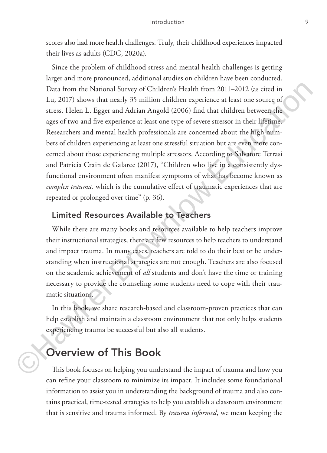scores also had more health challenges. Truly, their childhood experiences impacted their lives as adults (CDC, 2020a).

Since the problem of childhood stress and mental health challenges is getting larger and more pronounced, additional studies on children have been conducted. Data from the National Survey of Children's Health from 2011–2012 (as cited in Lu, 2017) shows that nearly 35 million children experience at least one source of stress. Helen L. Egger and Adrian Angold (2006) find that children between the ages of two and five experience at least one type of severe stressor in their lifetime. Researchers and mental health professionals are concerned about the high numbers of children experiencing at least one stressful situation but are even more concerned about those experiencing multiple stressors. According to Salvatore Terrasi and Patricia Crain de Galarce (2017), "Children who live in a consistently dysfunctional environment often manifest symptoms of what has become known as *complex trauma,* which is the cumulative effect of traumatic experiences that are repeated or prolonged over time" (p. 36). Data from the National Survey of Children's Health from 2011–2012 (as cited in<br>
1a, 2017) shows that nearly 35 million children experience at least one source of<br>
stress. Helen L. Egger and Adrian Angold (2006) find that

## Limited Resources Available to Teachers

While there are many books and resources available to help teachers improve their instructional strategies, there are few resources to help teachers to understand and impact trauma. In many cases, teachers are told to do their best or be understanding when instructional strategies are not enough. Teachers are also focused on the academic achievement of *all* students and don't have the time or training necessary to provide the counseling some students need to cope with their traumatic situations.

In this book, we share research-based and classroom-proven practices that can help establish and maintain a classroom environment that not only helps students experiencing trauma be successful but also all students.

# Overview of This Book

This book focuses on helping you understand the impact of trauma and how you can refine your classroom to minimize its impact. It includes some foundational information to assist you in understanding the background of trauma and also contains practical, time-tested strategies to help you establish a classroom environment that is sensitive and trauma informed. By *trauma informed*, we mean keeping the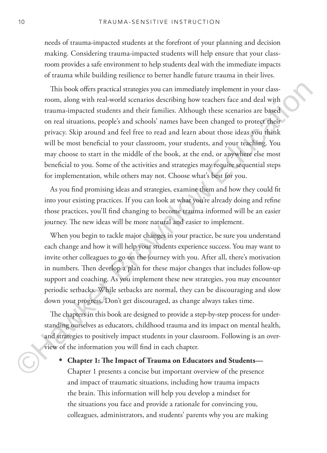needs of trauma-impacted students at the forefront of your planning and decision making. Considering trauma-impacted students will help ensure that your classroom provides a safe environment to help students deal with the immediate impacts of trauma while building resilience to better handle future trauma in their lives.

This book offers practical strategies you can immediately implement in your classroom, along with real-world scenarios describing how teachers face and deal with trauma-impacted students and their families. Although these scenarios are based on real situations, people's and schools' names have been changed to protect their privacy. Skip around and feel free to read and learn about those ideas you think will be most beneficial to your classroom, your students, and your teaching. You may choose to start in the middle of the book, at the end, or anywhere else most beneficial to you. Some of the activities and strategies may require sequential steps for implementation, while others may not. Choose what's best for you. This book offers practical strategies you can inmediately implement in your class<br>room, along with real-words corarios describing how teachers face and deal with<br>crauma-impacted sudents and their families. Although these s

As you find promising ideas and strategies, examine them and how they could fit into your existing practices. If you can look at what you're already doing and refine those practices, you'll find changing to become trauma informed will be an easier journey. The new ideas will be more natural and easier to implement.

When you begin to tackle major changes in your practice, be sure you understand each change and how it will help your students experience success. You may want to invite other colleagues to go on the journey with you. After all, there's motivation in numbers. Then develop a plan for these major changes that includes follow-up support and coaching. As you implement these new strategies, you may encounter periodic setbacks. While setbacks are normal, they can be discouraging and slow down your progress. Don't get discouraged, as change always takes time.

The chapters in this book are designed to provide a step-by-step process for understanding ourselves as educators, childhood trauma and its impact on mental health, and strategies to positively impact students in your classroom. Following is an overview of the information you will find in each chapter.

• **Chapter 1: The Impact of Trauma on Educators and Students—** Chapter 1 presents a concise but important overview of the presence and impact of traumatic situations, including how trauma impacts the brain. This information will help you develop a mindset for the situations you face and provide a rationale for convincing you, colleagues, administrators, and students' parents why you are making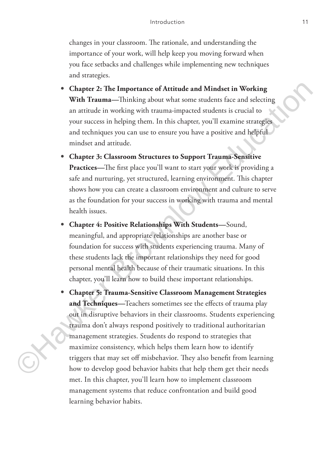changes in your classroom. The rationale, and understanding the importance of your work, will help keep you moving forward when you face setbacks and challenges while implementing new techniques and strategies.

- **Chapter 2: The Importance of Attitude and Mindset in Working With Trauma—**Thinking about what some students face and selecting an attitude in working with trauma-impacted students is crucial to your success in helping them. In this chapter, you'll examine strategies and techniques you can use to ensure you have a positive and helpful mindset and attitude.
- **Chapter 3: Classroom Structures to Support Trauma-Sensitive Practices—**The first place you'll want to start your work is providing a safe and nurturing, yet structured, learning environment. This chapter shows how you can create a classroom environment and culture to serve as the foundation for your success in working with trauma and mental health issues.
- **Chapter 4: Positive Relationships With Students—**Sound, meaningful, and appropriate relationships are another base or foundation for success with students experiencing trauma. Many of these students lack the important relationships they need for good personal mental health because of their traumatic situations. In this chapter, you'll learn how to build these important relationships.
- **Chapter 5: Trauma-Sensitive Classroom Management Strategies and Techniques—**Teachers sometimes see the effects of trauma play out in disruptive behaviors in their classrooms. Students experiencing trauma don't always respond positively to traditional authoritarian management strategies. Students do respond to strategies that maximize consistency, which helps them learn how to identify triggers that may set off misbehavior. They also benefit from learning how to develop good behavior habits that help them get their needs met. In this chapter, you'll learn how to implement classroom management systems that reduce confrontation and build good learning behavior habits. ■ **Chapter 2: The Importance of Attitude and Mindset in Working**<br> **With Traum=**—Thinking about what some scoles force and selecting<br>
an attitude in working with trauma-impacted students is crucial to<br>
your success in help